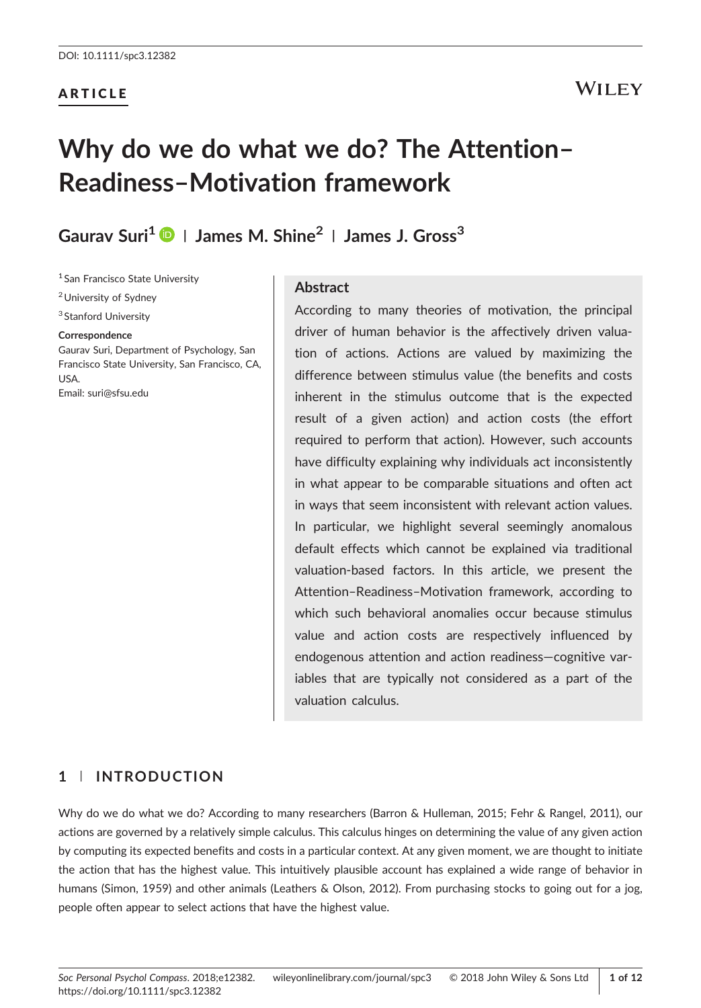#### ARTICLE

## **WILEY**

# **Why do we do what we do? The Attention– Readiness–Motivation framework**

## **Gaurav Suri<sup>1</sup> <sup>|</sup> James M. Shine<sup>2</sup> <sup>|</sup> James J. Gross3**

<sup>1</sup> San Francisco State University

<sup>2</sup> University of Sydney

<sup>3</sup> Stanford University

**Correspondence**

Gaurav Suri, Department of Psychology, San Francisco State University, San Francisco, CA, USA. Email: [suri@sfsu.edu](mailto:suri@sfsu.edu)

#### **Abstract**

According to many theories of motivation, the principal driver of human behavior is the affectively driven valuation of actions. Actions are valued by maximizing the difference between stimulus value (the benefits and costs inherent in the stimulus outcome that is the expected result of a given action) and action costs (the effort required to perform that action). However, such accounts have difficulty explaining why individuals act inconsistently in what appear to be comparable situations and often act in ways that seem inconsistent with relevant action values. In particular, we highlight several seemingly anomalous default effects which cannot be explained via traditional valuation‐based factors. In this article, we present the Attention–Readiness–Motivation framework, according to which such behavioral anomalies occur because stimulus value and action costs are respectively influenced by endogenous attention and action readiness—cognitive variables that are typically not considered as a part of the valuation calculus.

#### **1** | **INTRODUCTION**

Why do we do what we do? According to many researchers (Barron & Hulleman, 2015; Fehr & Rangel, 2011), our actions are governed by a relatively simple calculus. This calculus hinges on determining the value of any given action by computing its expected benefits and costs in a particular context. At any given moment, we are thought to initiate the action that has the highest value. This intuitively plausible account has explained a wide range of behavior in humans (Simon, 1959) and other animals (Leathers & Olson, 2012). From purchasing stocks to going out for a jog, people often appear to select actions that have the highest value.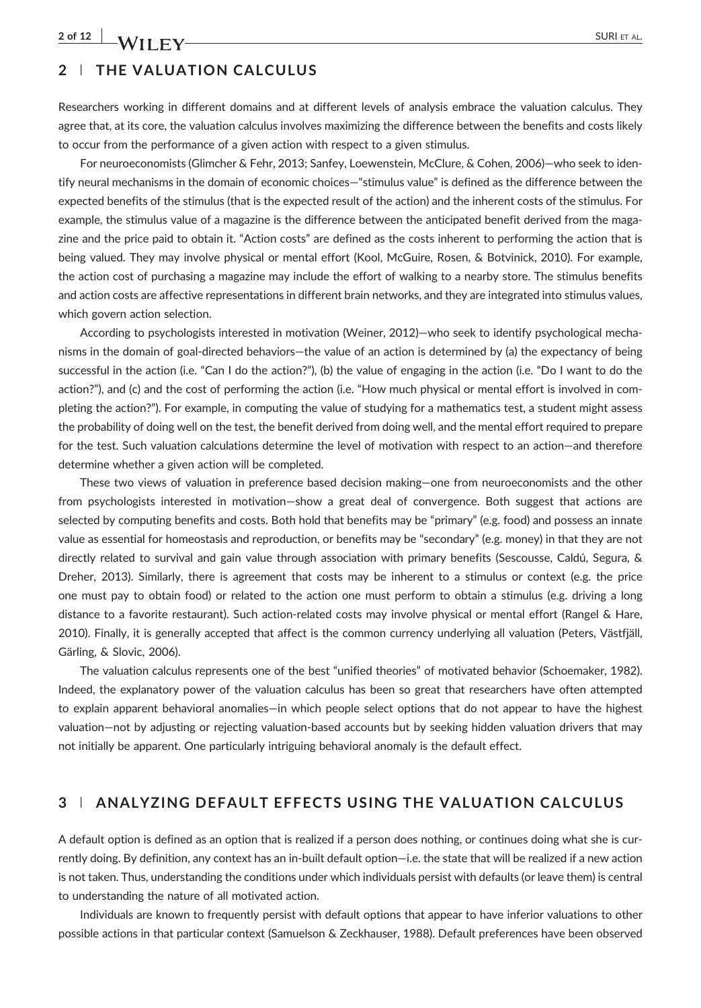## **2 of 12 WII FY** SURIET AL.

## **2** | **THE VALUATION CALCULUS**

Researchers working in different domains and at different levels of analysis embrace the valuation calculus. They agree that, at its core, the valuation calculus involves maximizing the difference between the benefits and costs likely to occur from the performance of a given action with respect to a given stimulus.

For neuroeconomists (Glimcher & Fehr, 2013; Sanfey, Loewenstein, McClure, & Cohen, 2006)—who seek to identify neural mechanisms in the domain of economic choices—"stimulus value" is defined as the difference between the expected benefits of the stimulus (that is the expected result of the action) and the inherent costs of the stimulus. For example, the stimulus value of a magazine is the difference between the anticipated benefit derived from the magazine and the price paid to obtain it. "Action costs" are defined as the costs inherent to performing the action that is being valued. They may involve physical or mental effort (Kool, McGuire, Rosen, & Botvinick, 2010). For example, the action cost of purchasing a magazine may include the effort of walking to a nearby store. The stimulus benefits and action costs are affective representations in different brain networks, and they are integrated into stimulus values, which govern action selection.

According to psychologists interested in motivation (Weiner, 2012)—who seek to identify psychological mechanisms in the domain of goal‐directed behaviors—the value of an action is determined by (a) the expectancy of being successful in the action (i.e. "Can I do the action?"), (b) the value of engaging in the action (i.e. "Do I want to do the action?"), and (c) and the cost of performing the action (i.e. "How much physical or mental effort is involved in completing the action?"). For example, in computing the value of studying for a mathematics test, a student might assess the probability of doing well on the test, the benefit derived from doing well, and the mental effort required to prepare for the test. Such valuation calculations determine the level of motivation with respect to an action—and therefore determine whether a given action will be completed.

These two views of valuation in preference based decision making—one from neuroeconomists and the other from psychologists interested in motivation—show a great deal of convergence. Both suggest that actions are selected by computing benefits and costs. Both hold that benefits may be "primary" (e.g. food) and possess an innate value as essential for homeostasis and reproduction, or benefits may be "secondary" (e.g. money) in that they are not directly related to survival and gain value through association with primary benefits (Sescousse, Caldú, Segura, & Dreher, 2013). Similarly, there is agreement that costs may be inherent to a stimulus or context (e.g. the price one must pay to obtain food) or related to the action one must perform to obtain a stimulus (e.g. driving a long distance to a favorite restaurant). Such action‐related costs may involve physical or mental effort (Rangel & Hare, 2010). Finally, it is generally accepted that affect is the common currency underlying all valuation (Peters, Västfjäll, Gärling, & Slovic, 2006).

The valuation calculus represents one of the best "unified theories" of motivated behavior (Schoemaker, 1982). Indeed, the explanatory power of the valuation calculus has been so great that researchers have often attempted to explain apparent behavioral anomalies—in which people select options that do not appear to have the highest valuation—not by adjusting or rejecting valuation‐based accounts but by seeking hidden valuation drivers that may not initially be apparent. One particularly intriguing behavioral anomaly is the default effect.

#### **3** | **ANALYZING DEFAULT EFFECTS USING THE VALUATION CALCULUS**

A default option is defined as an option that is realized if a person does nothing, or continues doing what she is currently doing. By definition, any context has an in‐built default option—i.e. the state that will be realized if a new action is not taken. Thus, understanding the conditions under which individuals persist with defaults (or leave them) is central to understanding the nature of all motivated action.

Individuals are known to frequently persist with default options that appear to have inferior valuations to other possible actions in that particular context (Samuelson & Zeckhauser, 1988). Default preferences have been observed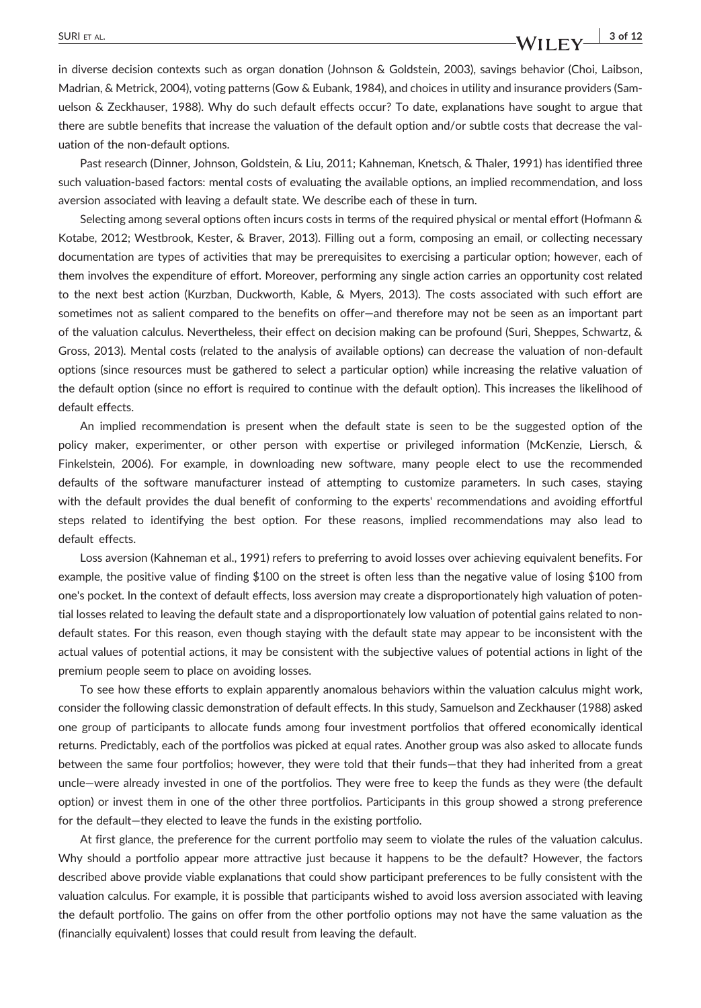#### SURI ET AL. **3 of 12**

in diverse decision contexts such as organ donation (Johnson & Goldstein, 2003), savings behavior (Choi, Laibson, Madrian, & Metrick, 2004), voting patterns (Gow & Eubank, 1984), and choices in utility and insurance providers (Samuelson & Zeckhauser, 1988). Why do such default effects occur? To date, explanations have sought to argue that there are subtle benefits that increase the valuation of the default option and/or subtle costs that decrease the valuation of the non‐default options.

Past research (Dinner, Johnson, Goldstein, & Liu, 2011; Kahneman, Knetsch, & Thaler, 1991) has identified three such valuation-based factors: mental costs of evaluating the available options, an implied recommendation, and loss aversion associated with leaving a default state. We describe each of these in turn.

Selecting among several options often incurs costs in terms of the required physical or mental effort (Hofmann & Kotabe, 2012; Westbrook, Kester, & Braver, 2013). Filling out a form, composing an email, or collecting necessary documentation are types of activities that may be prerequisites to exercising a particular option; however, each of them involves the expenditure of effort. Moreover, performing any single action carries an opportunity cost related to the next best action (Kurzban, Duckworth, Kable, & Myers, 2013). The costs associated with such effort are sometimes not as salient compared to the benefits on offer—and therefore may not be seen as an important part of the valuation calculus. Nevertheless, their effect on decision making can be profound (Suri, Sheppes, Schwartz, & Gross, 2013). Mental costs (related to the analysis of available options) can decrease the valuation of non‐default options (since resources must be gathered to select a particular option) while increasing the relative valuation of the default option (since no effort is required to continue with the default option). This increases the likelihood of default effects.

An implied recommendation is present when the default state is seen to be the suggested option of the policy maker, experimenter, or other person with expertise or privileged information (McKenzie, Liersch, & Finkelstein, 2006). For example, in downloading new software, many people elect to use the recommended defaults of the software manufacturer instead of attempting to customize parameters. In such cases, staying with the default provides the dual benefit of conforming to the experts' recommendations and avoiding effortful steps related to identifying the best option. For these reasons, implied recommendations may also lead to default effects.

Loss aversion (Kahneman et al., 1991) refers to preferring to avoid losses over achieving equivalent benefits. For example, the positive value of finding \$100 on the street is often less than the negative value of losing \$100 from one's pocket. In the context of default effects, loss aversion may create a disproportionately high valuation of potential losses related to leaving the default state and a disproportionately low valuation of potential gains related to nondefault states. For this reason, even though staying with the default state may appear to be inconsistent with the actual values of potential actions, it may be consistent with the subjective values of potential actions in light of the premium people seem to place on avoiding losses.

To see how these efforts to explain apparently anomalous behaviors within the valuation calculus might work, consider the following classic demonstration of default effects. In this study, Samuelson and Zeckhauser (1988) asked one group of participants to allocate funds among four investment portfolios that offered economically identical returns. Predictably, each of the portfolios was picked at equal rates. Another group was also asked to allocate funds between the same four portfolios; however, they were told that their funds—that they had inherited from a great uncle—were already invested in one of the portfolios. They were free to keep the funds as they were (the default option) or invest them in one of the other three portfolios. Participants in this group showed a strong preference for the default—they elected to leave the funds in the existing portfolio.

At first glance, the preference for the current portfolio may seem to violate the rules of the valuation calculus. Why should a portfolio appear more attractive just because it happens to be the default? However, the factors described above provide viable explanations that could show participant preferences to be fully consistent with the valuation calculus. For example, it is possible that participants wished to avoid loss aversion associated with leaving the default portfolio. The gains on offer from the other portfolio options may not have the same valuation as the (financially equivalent) losses that could result from leaving the default.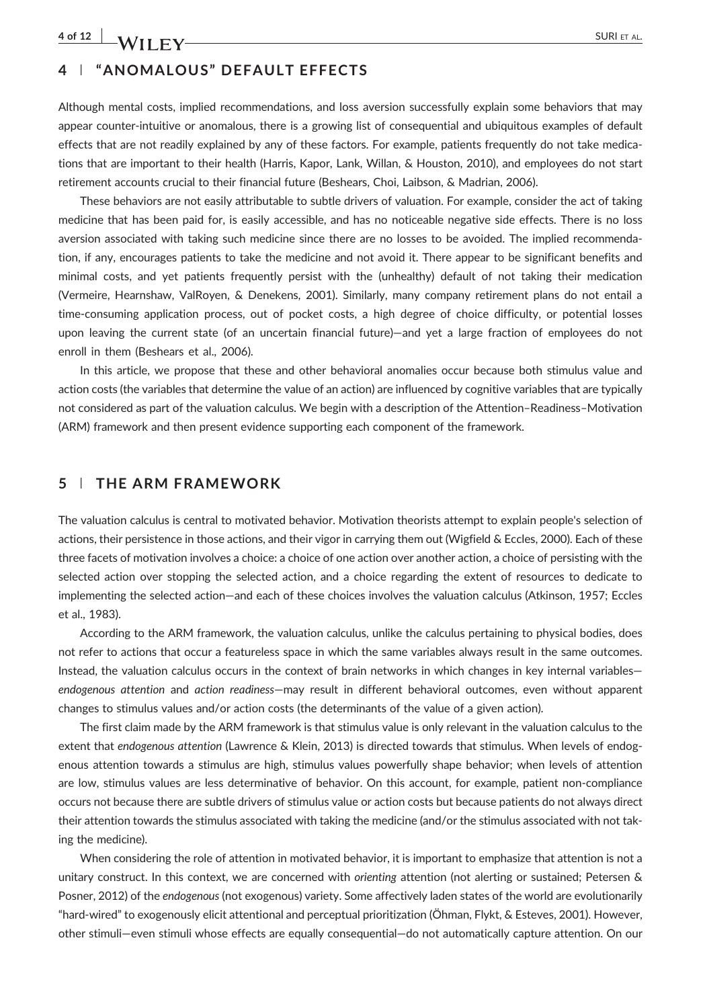## **4 of 12 WII FY** SURI ET AL.

#### **4** | **"ANOMALOUS" DEFAULT EFFECTS**

Although mental costs, implied recommendations, and loss aversion successfully explain some behaviors that may appear counter‐intuitive or anomalous, there is a growing list of consequential and ubiquitous examples of default effects that are not readily explained by any of these factors. For example, patients frequently do not take medications that are important to their health (Harris, Kapor, Lank, Willan, & Houston, 2010), and employees do not start retirement accounts crucial to their financial future (Beshears, Choi, Laibson, & Madrian, 2006).

These behaviors are not easily attributable to subtle drivers of valuation. For example, consider the act of taking medicine that has been paid for, is easily accessible, and has no noticeable negative side effects. There is no loss aversion associated with taking such medicine since there are no losses to be avoided. The implied recommendation, if any, encourages patients to take the medicine and not avoid it. There appear to be significant benefits and minimal costs, and yet patients frequently persist with the (unhealthy) default of not taking their medication (Vermeire, Hearnshaw, ValRoyen, & Denekens, 2001). Similarly, many company retirement plans do not entail a time-consuming application process, out of pocket costs, a high degree of choice difficulty, or potential losses upon leaving the current state (of an uncertain financial future)—and yet a large fraction of employees do not enroll in them (Beshears et al., 2006).

In this article, we propose that these and other behavioral anomalies occur because both stimulus value and action costs (the variables that determine the value of an action) are influenced by cognitive variables that are typically not considered as part of the valuation calculus. We begin with a description of the Attention–Readiness–Motivation (ARM) framework and then present evidence supporting each component of the framework.

#### **5** | **THE ARM FRAMEWORK**

The valuation calculus is central to motivated behavior. Motivation theorists attempt to explain people's selection of actions, their persistence in those actions, and their vigor in carrying them out (Wigfield & Eccles, 2000). Each of these three facets of motivation involves a choice: a choice of one action over another action, a choice of persisting with the selected action over stopping the selected action, and a choice regarding the extent of resources to dedicate to implementing the selected action—and each of these choices involves the valuation calculus (Atkinson, 1957; Eccles et al., 1983).

According to the ARM framework, the valuation calculus, unlike the calculus pertaining to physical bodies, does not refer to actions that occur a featureless space in which the same variables always result in the same outcomes. Instead, the valuation calculus occurs in the context of brain networks in which changes in key internal variables *endogenous attention* and *action readiness*—may result in different behavioral outcomes, even without apparent changes to stimulus values and/or action costs (the determinants of the value of a given action).

The first claim made by the ARM framework is that stimulus value is only relevant in the valuation calculus to the extent that *endogenous attention* (Lawrence & Klein, 2013) is directed towards that stimulus. When levels of endogenous attention towards a stimulus are high, stimulus values powerfully shape behavior; when levels of attention are low, stimulus values are less determinative of behavior. On this account, for example, patient non‐compliance occurs not because there are subtle drivers of stimulus value or action costs but because patients do not always direct their attention towards the stimulus associated with taking the medicine (and/or the stimulus associated with not taking the medicine).

When considering the role of attention in motivated behavior, it is important to emphasize that attention is not a unitary construct. In this context, we are concerned with *orienting* attention (not alerting or sustained; Petersen & Posner, 2012) of the *endogenous* (not exogenous) variety. Some affectively laden states of the world are evolutionarily "hard‐wired" to exogenously elicit attentional and perceptual prioritization (Öhman, Flykt, & Esteves, 2001). However, other stimuli—even stimuli whose effects are equally consequential—do not automatically capture attention. On our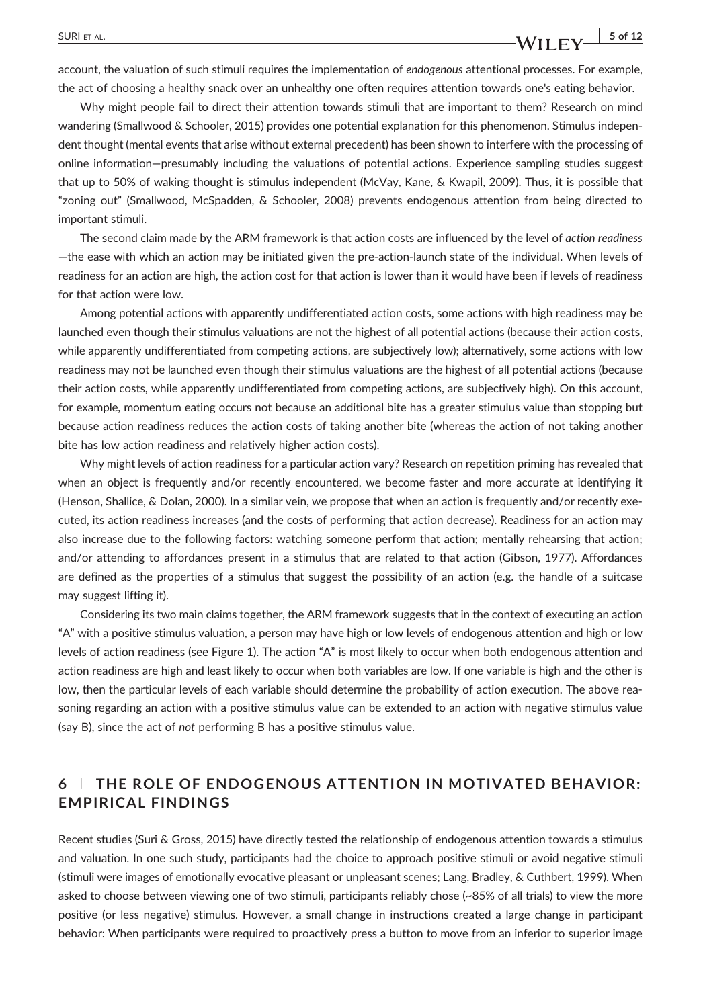#### SURI ET AL. **5 of 12**

account, the valuation of such stimuli requires the implementation of *endogenous* attentional processes. For example, the act of choosing a healthy snack over an unhealthy one often requires attention towards one's eating behavior.

Why might people fail to direct their attention towards stimuli that are important to them? Research on mind wandering (Smallwood & Schooler, 2015) provides one potential explanation for this phenomenon. Stimulus independent thought (mental events that arise without external precedent) has been shown to interfere with the processing of online information—presumably including the valuations of potential actions. Experience sampling studies suggest that up to 50% of waking thought is stimulus independent (McVay, Kane, & Kwapil, 2009). Thus, it is possible that "zoning out" (Smallwood, McSpadden, & Schooler, 2008) prevents endogenous attention from being directed to important stimuli.

The second claim made by the ARM framework is that action costs are influenced by the level of *action readiness* —the ease with which an action may be initiated given the pre‐action‐launch state of the individual. When levels of readiness for an action are high, the action cost for that action is lower than it would have been if levels of readiness for that action were low.

Among potential actions with apparently undifferentiated action costs, some actions with high readiness may be launched even though their stimulus valuations are not the highest of all potential actions (because their action costs, while apparently undifferentiated from competing actions, are subjectively low); alternatively, some actions with low readiness may not be launched even though their stimulus valuations are the highest of all potential actions (because their action costs, while apparently undifferentiated from competing actions, are subjectively high). On this account, for example, momentum eating occurs not because an additional bite has a greater stimulus value than stopping but because action readiness reduces the action costs of taking another bite (whereas the action of not taking another bite has low action readiness and relatively higher action costs).

Why might levels of action readiness for a particular action vary? Research on repetition priming has revealed that when an object is frequently and/or recently encountered, we become faster and more accurate at identifying it (Henson, Shallice, & Dolan, 2000). In a similar vein, we propose that when an action is frequently and/or recently executed, its action readiness increases (and the costs of performing that action decrease). Readiness for an action may also increase due to the following factors: watching someone perform that action; mentally rehearsing that action; and/or attending to affordances present in a stimulus that are related to that action (Gibson, 1977). Affordances are defined as the properties of a stimulus that suggest the possibility of an action (e.g. the handle of a suitcase may suggest lifting it).

Considering its two main claims together, the ARM framework suggests that in the context of executing an action "A" with a positive stimulus valuation, a person may have high or low levels of endogenous attention and high or low levels of action readiness (see Figure 1). The action "A" is most likely to occur when both endogenous attention and action readiness are high and least likely to occur when both variables are low. If one variable is high and the other is low, then the particular levels of each variable should determine the probability of action execution. The above reasoning regarding an action with a positive stimulus value can be extended to an action with negative stimulus value (say B), since the act of *not* performing B has a positive stimulus value.

#### **6** | **THE ROLE OF ENDOGENOUS ATTENTION IN MOTIVATED BEHAVIOR: EMPIRICAL FINDINGS**

Recent studies (Suri & Gross, 2015) have directly tested the relationship of endogenous attention towards a stimulus and valuation. In one such study, participants had the choice to approach positive stimuli or avoid negative stimuli (stimuli were images of emotionally evocative pleasant or unpleasant scenes; Lang, Bradley, & Cuthbert, 1999). When asked to choose between viewing one of two stimuli, participants reliably chose (~85% of all trials) to view the more positive (or less negative) stimulus. However, a small change in instructions created a large change in participant behavior: When participants were required to proactively press a button to move from an inferior to superior image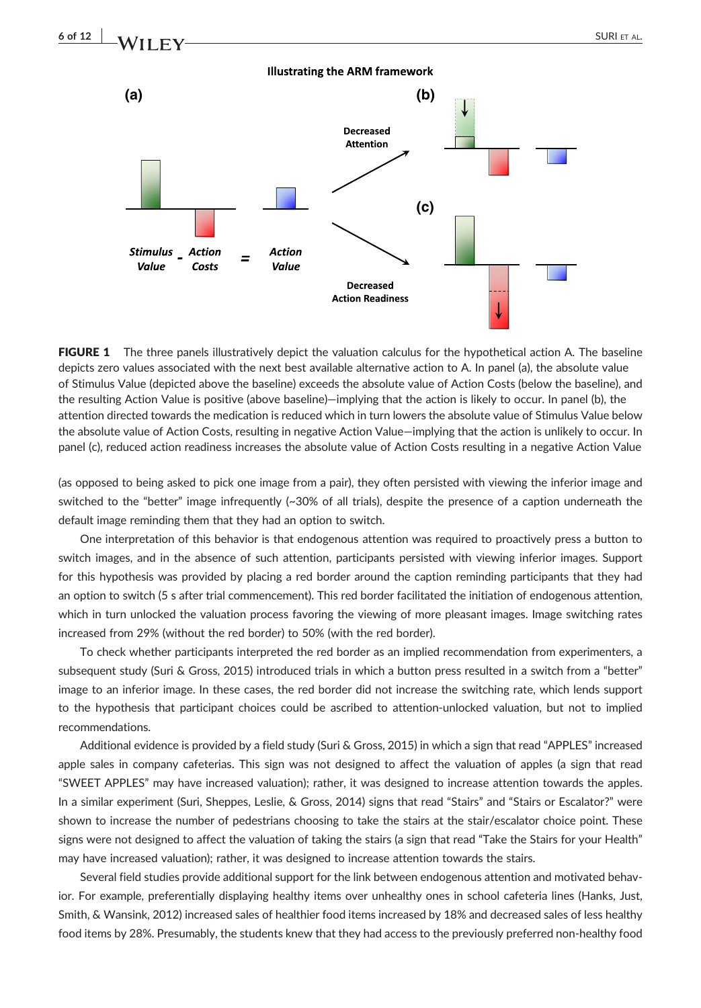

FIGURE 1 The three panels illustratively depict the valuation calculus for the hypothetical action A. The baseline depicts zero values associated with the next best available alternative action to A. In panel (a), the absolute value of Stimulus Value (depicted above the baseline) exceeds the absolute value of Action Costs (below the baseline), and the resulting Action Value is positive (above baseline)—implying that the action is likely to occur. In panel (b), the attention directed towards the medication is reduced which in turn lowers the absolute value of Stimulus Value below the absolute value of Action Costs, resulting in negative Action Value—implying that the action is unlikely to occur. In panel (c), reduced action readiness increases the absolute value of Action Costs resulting in a negative Action Value

(as opposed to being asked to pick one image from a pair), they often persisted with viewing the inferior image and switched to the "better" image infrequently (~30% of all trials), despite the presence of a caption underneath the default image reminding them that they had an option to switch.

One interpretation of this behavior is that endogenous attention was required to proactively press a button to switch images, and in the absence of such attention, participants persisted with viewing inferior images. Support for this hypothesis was provided by placing a red border around the caption reminding participants that they had an option to switch (5 s after trial commencement). This red border facilitated the initiation of endogenous attention, which in turn unlocked the valuation process favoring the viewing of more pleasant images. Image switching rates increased from 29% (without the red border) to 50% (with the red border).

To check whether participants interpreted the red border as an implied recommendation from experimenters, a subsequent study (Suri & Gross, 2015) introduced trials in which a button press resulted in a switch from a "better" image to an inferior image. In these cases, the red border did not increase the switching rate, which lends support to the hypothesis that participant choices could be ascribed to attention‐unlocked valuation, but not to implied recommendations.

Additional evidence is provided by a field study (Suri & Gross, 2015) in which a sign that read "APPLES" increased apple sales in company cafeterias. This sign was not designed to affect the valuation of apples (a sign that read "SWEET APPLES" may have increased valuation); rather, it was designed to increase attention towards the apples. In a similar experiment (Suri, Sheppes, Leslie, & Gross, 2014) signs that read "Stairs" and "Stairs or Escalator?" were shown to increase the number of pedestrians choosing to take the stairs at the stair/escalator choice point. These signs were not designed to affect the valuation of taking the stairs (a sign that read "Take the Stairs for your Health" may have increased valuation); rather, it was designed to increase attention towards the stairs.

Several field studies provide additional support for the link between endogenous attention and motivated behavior. For example, preferentially displaying healthy items over unhealthy ones in school cafeteria lines (Hanks, Just, Smith, & Wansink, 2012) increased sales of healthier food items increased by 18% and decreased sales of less healthy food items by 28%. Presumably, the students knew that they had access to the previously preferred non‐healthy food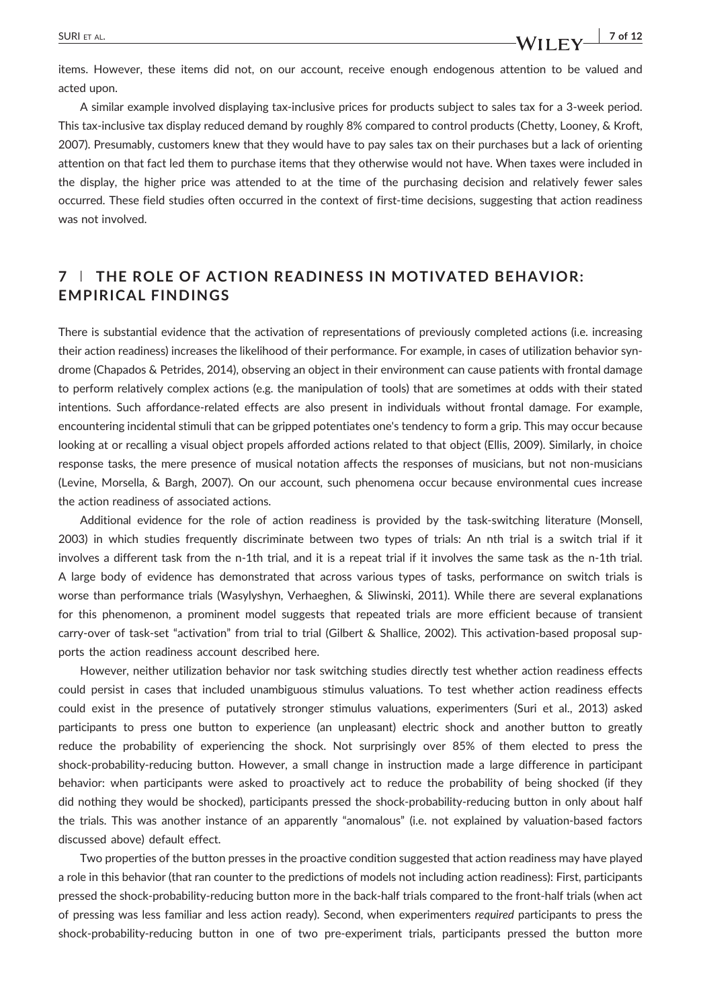items. However, these items did not, on our account, receive enough endogenous attention to be valued and acted upon.

A similar example involved displaying tax‐inclusive prices for products subject to sales tax for a 3‐week period. This tax‐inclusive tax display reduced demand by roughly 8% compared to control products (Chetty, Looney, & Kroft, 2007). Presumably, customers knew that they would have to pay sales tax on their purchases but a lack of orienting attention on that fact led them to purchase items that they otherwise would not have. When taxes were included in the display, the higher price was attended to at the time of the purchasing decision and relatively fewer sales occurred. These field studies often occurred in the context of first-time decisions, suggesting that action readiness was not involved.

#### **7** | **THE ROLE OF ACTION READINESS IN MOTIVATED BEHAVIOR: EMPIRICAL FINDINGS**

There is substantial evidence that the activation of representations of previously completed actions (i.e. increasing their action readiness) increases the likelihood of their performance. For example, in cases of utilization behavior syndrome (Chapados & Petrides, 2014), observing an object in their environment can cause patients with frontal damage to perform relatively complex actions (e.g. the manipulation of tools) that are sometimes at odds with their stated intentions. Such affordance‐related effects are also present in individuals without frontal damage. For example, encountering incidental stimuli that can be gripped potentiates one's tendency to form a grip. This may occur because looking at or recalling a visual object propels afforded actions related to that object (Ellis, 2009). Similarly, in choice response tasks, the mere presence of musical notation affects the responses of musicians, but not non‐musicians (Levine, Morsella, & Bargh, 2007). On our account, such phenomena occur because environmental cues increase the action readiness of associated actions.

Additional evidence for the role of action readiness is provided by the task-switching literature (Monsell, 2003) in which studies frequently discriminate between two types of trials: An nth trial is a switch trial if it involves a different task from the n‐1th trial, and it is a repeat trial if it involves the same task as the n‐1th trial. A large body of evidence has demonstrated that across various types of tasks, performance on switch trials is worse than performance trials (Wasylyshyn, Verhaeghen, & Sliwinski, 2011). While there are several explanations for this phenomenon, a prominent model suggests that repeated trials are more efficient because of transient carry-over of task-set "activation" from trial to trial (Gilbert & Shallice, 2002). This activation-based proposal supports the action readiness account described here.

However, neither utilization behavior nor task switching studies directly test whether action readiness effects could persist in cases that included unambiguous stimulus valuations. To test whether action readiness effects could exist in the presence of putatively stronger stimulus valuations, experimenters (Suri et al., 2013) asked participants to press one button to experience (an unpleasant) electric shock and another button to greatly reduce the probability of experiencing the shock. Not surprisingly over 85% of them elected to press the shock‐probability‐reducing button. However, a small change in instruction made a large difference in participant behavior: when participants were asked to proactively act to reduce the probability of being shocked (if they did nothing they would be shocked), participants pressed the shock-probability-reducing button in only about half the trials. This was another instance of an apparently "anomalous" (i.e. not explained by valuation‐based factors discussed above) default effect.

Two properties of the button presses in the proactive condition suggested that action readiness may have played a role in this behavior (that ran counter to the predictions of models not including action readiness): First, participants pressed the shock‐probability‐reducing button more in the back‐half trials compared to the front‐half trials (when act of pressing was less familiar and less action ready). Second, when experimenters *required* participants to press the shock‐probability‐reducing button in one of two pre‐experiment trials, participants pressed the button more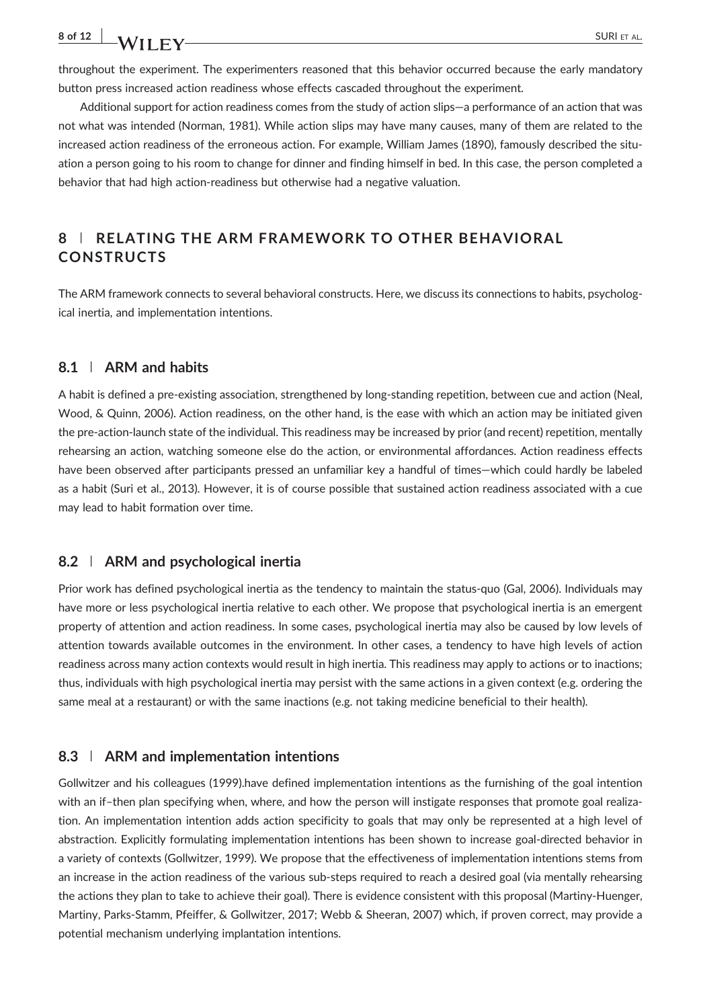throughout the experiment. The experimenters reasoned that this behavior occurred because the early mandatory button press increased action readiness whose effects cascaded throughout the experiment.

Additional support for action readiness comes from the study of action slips—a performance of an action that was not what was intended (Norman, 1981). While action slips may have many causes, many of them are related to the increased action readiness of the erroneous action. For example, William James (1890), famously described the situation a person going to his room to change for dinner and finding himself in bed. In this case, the person completed a behavior that had high action‐readiness but otherwise had a negative valuation.

### **8** | **RELATING THE ARM FRAMEWORK TO OTHER BEHAVIORAL CONSTRUCTS**

The ARM framework connects to several behavioral constructs. Here, we discuss its connections to habits, psychological inertia, and implementation intentions.

#### **8.1** | **ARM and habits**

A habit is defined a pre‐existing association, strengthened by long‐standing repetition, between cue and action (Neal, Wood, & Quinn, 2006). Action readiness, on the other hand, is the ease with which an action may be initiated given the pre‐action‐launch state of the individual. This readiness may be increased by prior (and recent) repetition, mentally rehearsing an action, watching someone else do the action, or environmental affordances. Action readiness effects have been observed after participants pressed an unfamiliar key a handful of times—which could hardly be labeled as a habit (Suri et al., 2013). However, it is of course possible that sustained action readiness associated with a cue may lead to habit formation over time.

#### **8.2** | **ARM and psychological inertia**

Prior work has defined psychological inertia as the tendency to maintain the status‐quo (Gal, 2006). Individuals may have more or less psychological inertia relative to each other. We propose that psychological inertia is an emergent property of attention and action readiness. In some cases, psychological inertia may also be caused by low levels of attention towards available outcomes in the environment. In other cases, a tendency to have high levels of action readiness across many action contexts would result in high inertia. This readiness may apply to actions or to inactions; thus, individuals with high psychological inertia may persist with the same actions in a given context (e.g. ordering the same meal at a restaurant) or with the same inactions (e.g. not taking medicine beneficial to their health).

#### **8.3** | **ARM and implementation intentions**

Gollwitzer and his colleagues (1999).have defined implementation intentions as the furnishing of the goal intention with an if–then plan specifying when, where, and how the person will instigate responses that promote goal realization. An implementation intention adds action specificity to goals that may only be represented at a high level of abstraction. Explicitly formulating implementation intentions has been shown to increase goal‐directed behavior in a variety of contexts (Gollwitzer, 1999). We propose that the effectiveness of implementation intentions stems from an increase in the action readiness of the various sub‐steps required to reach a desired goal (via mentally rehearsing the actions they plan to take to achieve their goal). There is evidence consistent with this proposal (Martiny‐Huenger, Martiny, Parks‐Stamm, Pfeiffer, & Gollwitzer, 2017; Webb & Sheeran, 2007) which, if proven correct, may provide a potential mechanism underlying implantation intentions.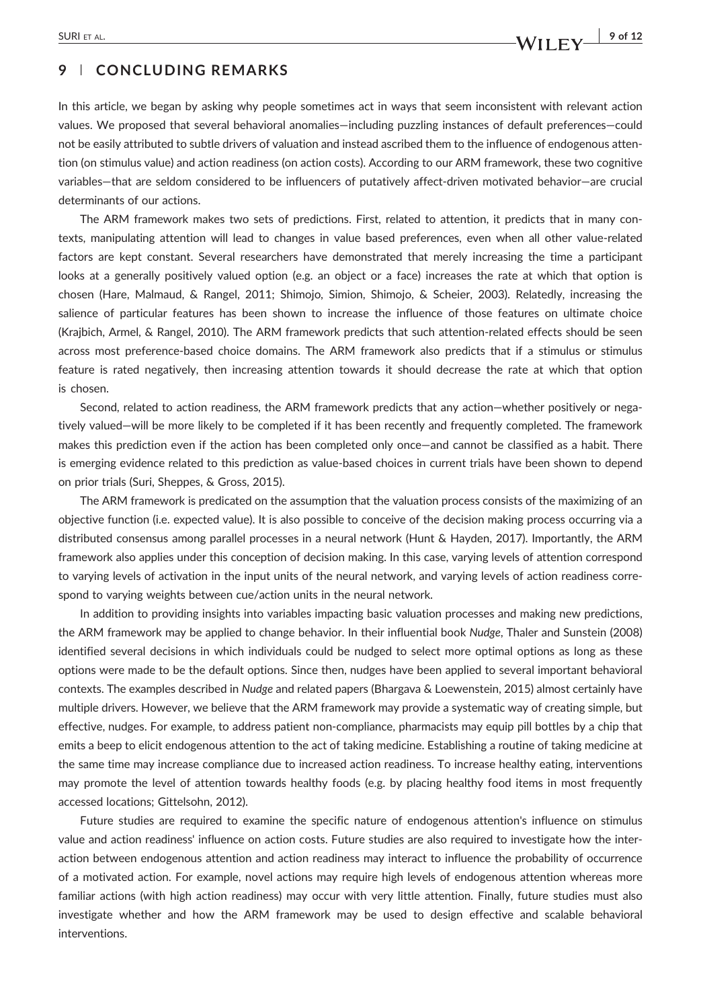#### **9** | **CONCLUDING REMARKS**

In this article, we began by asking why people sometimes act in ways that seem inconsistent with relevant action values. We proposed that several behavioral anomalies—including puzzling instances of default preferences—could not be easily attributed to subtle drivers of valuation and instead ascribed them to the influence of endogenous attention (on stimulus value) and action readiness (on action costs). According to our ARM framework, these two cognitive variables—that are seldom considered to be influencers of putatively affect‐driven motivated behavior—are crucial determinants of our actions.

The ARM framework makes two sets of predictions. First, related to attention, it predicts that in many contexts, manipulating attention will lead to changes in value based preferences, even when all other value-related factors are kept constant. Several researchers have demonstrated that merely increasing the time a participant looks at a generally positively valued option (e.g. an object or a face) increases the rate at which that option is chosen (Hare, Malmaud, & Rangel, 2011; Shimojo, Simion, Shimojo, & Scheier, 2003). Relatedly, increasing the salience of particular features has been shown to increase the influence of those features on ultimate choice (Krajbich, Armel, & Rangel, 2010). The ARM framework predicts that such attention‐related effects should be seen across most preference-based choice domains. The ARM framework also predicts that if a stimulus or stimulus feature is rated negatively, then increasing attention towards it should decrease the rate at which that option is chosen.

Second, related to action readiness, the ARM framework predicts that any action—whether positively or negatively valued—will be more likely to be completed if it has been recently and frequently completed. The framework makes this prediction even if the action has been completed only once—and cannot be classified as a habit. There is emerging evidence related to this prediction as value‐based choices in current trials have been shown to depend on prior trials (Suri, Sheppes, & Gross, 2015).

The ARM framework is predicated on the assumption that the valuation process consists of the maximizing of an objective function (i.e. expected value). It is also possible to conceive of the decision making process occurring via a distributed consensus among parallel processes in a neural network (Hunt & Hayden, 2017). Importantly, the ARM framework also applies under this conception of decision making. In this case, varying levels of attention correspond to varying levels of activation in the input units of the neural network, and varying levels of action readiness correspond to varying weights between cue/action units in the neural network.

In addition to providing insights into variables impacting basic valuation processes and making new predictions, the ARM framework may be applied to change behavior. In their influential book *Nudge*, Thaler and Sunstein (2008) identified several decisions in which individuals could be nudged to select more optimal options as long as these options were made to be the default options. Since then, nudges have been applied to several important behavioral contexts. The examples described in *Nudge* and related papers (Bhargava & Loewenstein, 2015) almost certainly have multiple drivers. However, we believe that the ARM framework may provide a systematic way of creating simple, but effective, nudges. For example, to address patient non‐compliance, pharmacists may equip pill bottles by a chip that emits a beep to elicit endogenous attention to the act of taking medicine. Establishing a routine of taking medicine at the same time may increase compliance due to increased action readiness. To increase healthy eating, interventions may promote the level of attention towards healthy foods (e.g. by placing healthy food items in most frequently accessed locations; Gittelsohn, 2012).

Future studies are required to examine the specific nature of endogenous attention's influence on stimulus value and action readiness' influence on action costs. Future studies are also required to investigate how the interaction between endogenous attention and action readiness may interact to influence the probability of occurrence of a motivated action. For example, novel actions may require high levels of endogenous attention whereas more familiar actions (with high action readiness) may occur with very little attention. Finally, future studies must also investigate whether and how the ARM framework may be used to design effective and scalable behavioral interventions.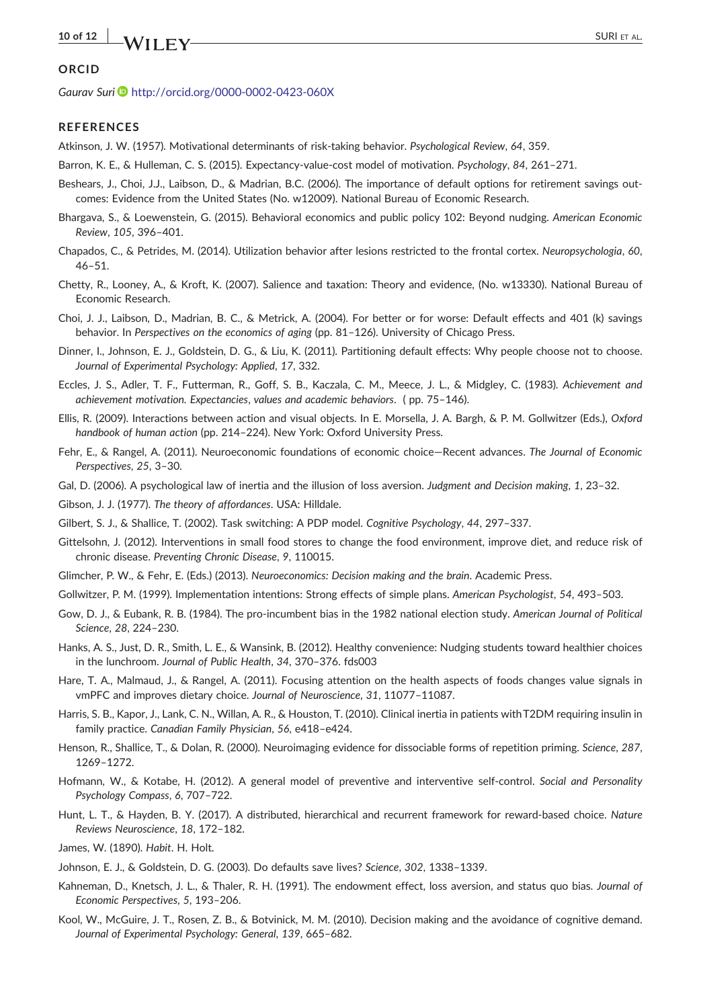## **10 of 12 WII FY** SURI ET AL.

#### **ORCID**

*Gaurav Suri* <http://orcid.org/0000-0002-0423-060X>

#### **REFERENCES**

- Atkinson, J. W. (1957). Motivational determinants of risk‐taking behavior. *Psychological Review*, *64*, 359.
- Barron, K. E., & Hulleman, C. S. (2015). Expectancy‐value‐cost model of motivation. *Psychology*, *84*, 261–271.
- Beshears, J., Choi, J.J., Laibson, D., & Madrian, B.C. (2006). The importance of default options for retirement savings outcomes: Evidence from the United States (No. w12009). National Bureau of Economic Research.
- Bhargava, S., & Loewenstein, G. (2015). Behavioral economics and public policy 102: Beyond nudging. *American Economic Review*, *105*, 396–401.
- Chapados, C., & Petrides, M. (2014). Utilization behavior after lesions restricted to the frontal cortex. *Neuropsychologia*, *60*, 46–51.
- Chetty, R., Looney, A., & Kroft, K. (2007). Salience and taxation: Theory and evidence, (No. w13330). National Bureau of Economic Research.
- Choi, J. J., Laibson, D., Madrian, B. C., & Metrick, A. (2004). For better or for worse: Default effects and 401 (k) savings behavior. In *Perspectives on the economics of aging* (pp. 81–126). University of Chicago Press.
- Dinner, I., Johnson, E. J., Goldstein, D. G., & Liu, K. (2011). Partitioning default effects: Why people choose not to choose. *Journal of Experimental Psychology: Applied*, *17*, 332.
- Eccles, J. S., Adler, T. F., Futterman, R., Goff, S. B., Kaczala, C. M., Meece, J. L., & Midgley, C. (1983). *Achievement and achievement motivation. Expectancies*, *values and academic behaviors*. ( pp. 75–146).
- Ellis, R. (2009). Interactions between action and visual objects. In E. Morsella, J. A. Bargh, & P. M. Gollwitzer (Eds.), *Oxford handbook of human action* (pp. 214–224). New York: Oxford University Press.
- Fehr, E., & Rangel, A. (2011). Neuroeconomic foundations of economic choice—Recent advances. *The Journal of Economic Perspectives*, *25*, 3–30.
- Gal, D. (2006). A psychological law of inertia and the illusion of loss aversion. *Judgment and Decision making*, *1*, 23–32.
- Gibson, J. J. (1977). *The theory of affordances*. USA: Hilldale.
- Gilbert, S. J., & Shallice, T. (2002). Task switching: A PDP model. *Cognitive Psychology*, *44*, 297–337.
- Gittelsohn, J. (2012). Interventions in small food stores to change the food environment, improve diet, and reduce risk of chronic disease. *Preventing Chronic Disease*, *9*, 110015.
- Glimcher, P. W., & Fehr, E. (Eds.) (2013). *Neuroeconomics: Decision making and the brain*. Academic Press.
- Gollwitzer, P. M. (1999). Implementation intentions: Strong effects of simple plans. *American Psychologist*, *54*, 493–503.
- Gow, D. J., & Eubank, R. B. (1984). The pro‐incumbent bias in the 1982 national election study. *American Journal of Political Science*, *28*, 224–230.
- Hanks, A. S., Just, D. R., Smith, L. E., & Wansink, B. (2012). Healthy convenience: Nudging students toward healthier choices in the lunchroom. *Journal of Public Health*, *34*, 370–376. fds003
- Hare, T. A., Malmaud, J., & Rangel, A. (2011). Focusing attention on the health aspects of foods changes value signals in vmPFC and improves dietary choice. *Journal of Neuroscience*, *31*, 11077–11087.
- Harris, S. B., Kapor, J., Lank, C. N., Willan, A. R., & Houston, T. (2010). Clinical inertia in patients withT2DM requiring insulin in family practice. *Canadian Family Physician*, *56*, e418–e424.
- Henson, R., Shallice, T., & Dolan, R. (2000). Neuroimaging evidence for dissociable forms of repetition priming. *Science*, *287*, 1269–1272.
- Hofmann, W., & Kotabe, H. (2012). A general model of preventive and interventive self‐control. *Social and Personality Psychology Compass*, *6*, 707–722.
- Hunt, L. T., & Hayden, B. Y. (2017). A distributed, hierarchical and recurrent framework for reward‐based choice. *Nature Reviews Neuroscience*, *18*, 172–182.
- James, W. (1890). *Habit*. H. Holt.
- Johnson, E. J., & Goldstein, D. G. (2003). Do defaults save lives? *Science*, *302*, 1338–1339.
- Kahneman, D., Knetsch, J. L., & Thaler, R. H. (1991). The endowment effect, loss aversion, and status quo bias. *Journal of Economic Perspectives*, *5*, 193–206.
- Kool, W., McGuire, J. T., Rosen, Z. B., & Botvinick, M. M. (2010). Decision making and the avoidance of cognitive demand. *Journal of Experimental Psychology: General*, *139*, 665–682.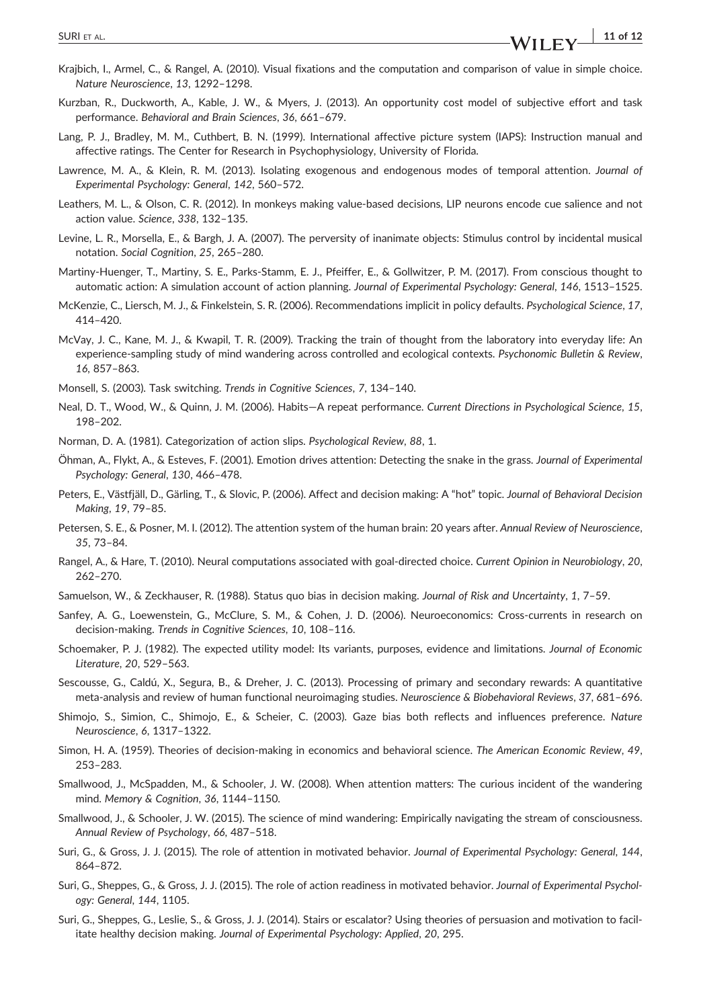- Krajbich, I., Armel, C., & Rangel, A. (2010). Visual fixations and the computation and comparison of value in simple choice. *Nature Neuroscience*, *13*, 1292–1298.
- Kurzban, R., Duckworth, A., Kable, J. W., & Myers, J. (2013). An opportunity cost model of subjective effort and task performance. *Behavioral and Brain Sciences*, *36*, 661–679.
- Lang, P. J., Bradley, M. M., Cuthbert, B. N. (1999). International affective picture system (IAPS): Instruction manual and affective ratings. The Center for Research in Psychophysiology, University of Florida.
- Lawrence, M. A., & Klein, R. M. (2013). Isolating exogenous and endogenous modes of temporal attention. *Journal of Experimental Psychology: General*, *142*, 560–572.
- Leathers, M. L., & Olson, C. R. (2012). In monkeys making value‐based decisions, LIP neurons encode cue salience and not action value. *Science*, *338*, 132–135.
- Levine, L. R., Morsella, E., & Bargh, J. A. (2007). The perversity of inanimate objects: Stimulus control by incidental musical notation. *Social Cognition*, *25*, 265–280.
- Martiny‐Huenger, T., Martiny, S. E., Parks‐Stamm, E. J., Pfeiffer, E., & Gollwitzer, P. M. (2017). From conscious thought to automatic action: A simulation account of action planning. *Journal of Experimental Psychology: General*, *146*, 1513–1525.
- McKenzie, C., Liersch, M. J., & Finkelstein, S. R. (2006). Recommendations implicit in policy defaults. *Psychological Science*, *17*, 414–420.
- McVay, J. C., Kane, M. J., & Kwapil, T. R. (2009). Tracking the train of thought from the laboratory into everyday life: An experience‐sampling study of mind wandering across controlled and ecological contexts. *Psychonomic Bulletin & Review*, *16*, 857–863.
- Monsell, S. (2003). Task switching. *Trends in Cognitive Sciences*, *7*, 134–140.
- Neal, D. T., Wood, W., & Quinn, J. M. (2006). Habits—A repeat performance. *Current Directions in Psychological Science*, *15*, 198–202.
- Norman, D. A. (1981). Categorization of action slips. *Psychological Review*, *88*, 1.
- Öhman, A., Flykt, A., & Esteves, F. (2001). Emotion drives attention: Detecting the snake in the grass. *Journal of Experimental Psychology: General*, *130*, 466–478.
- Peters, E., Västfjäll, D., Gärling, T., & Slovic, P. (2006). Affect and decision making: A "hot" topic. *Journal of Behavioral Decision Making*, *19*, 79–85.
- Petersen, S. E., & Posner, M. I. (2012). The attention system of the human brain: 20 years after. *Annual Review of Neuroscience*, *35*, 73–84.
- Rangel, A., & Hare, T. (2010). Neural computations associated with goal‐directed choice. *Current Opinion in Neurobiology*, *20*, 262–270.
- Samuelson, W., & Zeckhauser, R. (1988). Status quo bias in decision making. *Journal of Risk and Uncertainty*, *1*, 7–59.
- Sanfey, A. G., Loewenstein, G., McClure, S. M., & Cohen, J. D. (2006). Neuroeconomics: Cross-currents in research on decision‐making. *Trends in Cognitive Sciences*, *10*, 108–116.
- Schoemaker, P. J. (1982). The expected utility model: Its variants, purposes, evidence and limitations. *Journal of Economic Literature*, *20*, 529–563.
- Sescousse, G., Caldú, X., Segura, B., & Dreher, J. C. (2013). Processing of primary and secondary rewards: A quantitative meta‐analysis and review of human functional neuroimaging studies. *Neuroscience & Biobehavioral Reviews*, *37*, 681–696.
- Shimojo, S., Simion, C., Shimojo, E., & Scheier, C. (2003). Gaze bias both reflects and influences preference. *Nature Neuroscience*, *6*, 1317–1322.
- Simon, H. A. (1959). Theories of decision‐making in economics and behavioral science. *The American Economic Review*, *49*, 253–283.
- Smallwood, J., McSpadden, M., & Schooler, J. W. (2008). When attention matters: The curious incident of the wandering mind. *Memory & Cognition*, *36*, 1144–1150.
- Smallwood, J., & Schooler, J. W. (2015). The science of mind wandering: Empirically navigating the stream of consciousness. *Annual Review of Psychology*, *66*, 487–518.
- Suri, G., & Gross, J. J. (2015). The role of attention in motivated behavior. *Journal of Experimental Psychology: General*, *144*, 864–872.
- Suri, G., Sheppes, G., & Gross, J. J. (2015). The role of action readiness in motivated behavior. *Journal of Experimental Psychology: General*, *144*, 1105.
- Suri, G., Sheppes, G., Leslie, S., & Gross, J. J. (2014). Stairs or escalator? Using theories of persuasion and motivation to facilitate healthy decision making. *Journal of Experimental Psychology: Applied*, *20*, 295.